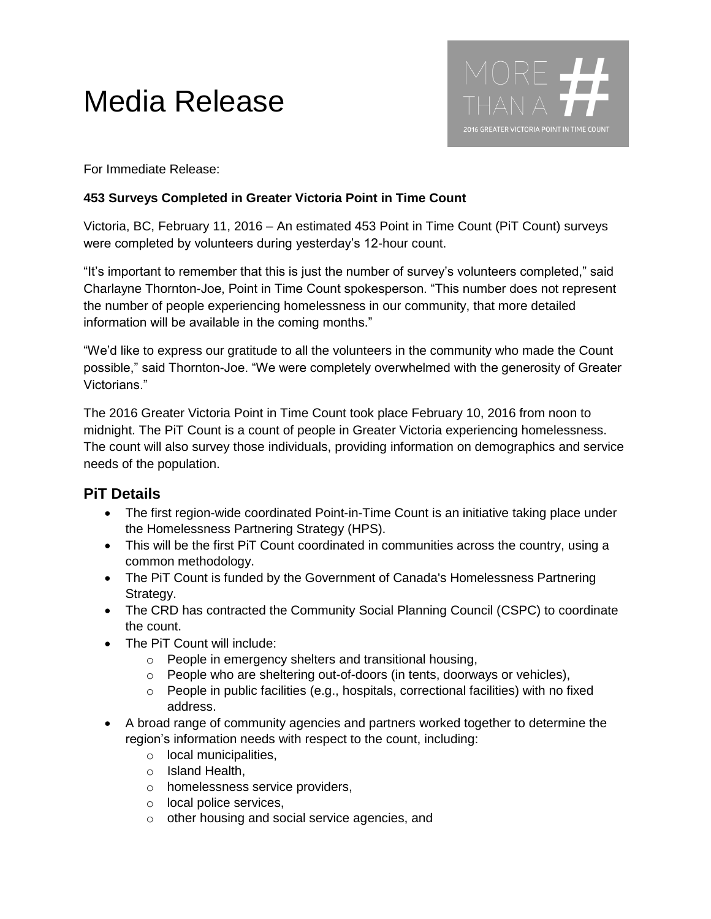## Media Release



For Immediate Release:

## **453 Surveys Completed in Greater Victoria Point in Time Count**

Victoria, BC, February 11, 2016 – An estimated 453 Point in Time Count (PiT Count) surveys were completed by volunteers during yesterday's 12-hour count.

"It's important to remember that this is just the number of survey's volunteers completed," said Charlayne Thornton-Joe, Point in Time Count spokesperson. "This number does not represent the number of people experiencing homelessness in our community, that more detailed information will be available in the coming months."

"We'd like to express our gratitude to all the volunteers in the community who made the Count possible," said Thornton-Joe. "We were completely overwhelmed with the generosity of Greater Victorians."

The 2016 Greater Victoria Point in Time Count took place February 10, 2016 from noon to midnight. The PiT Count is a count of people in Greater Victoria experiencing homelessness. The count will also survey those individuals, providing information on demographics and service needs of the population.

## **PiT Details**

- The first region-wide coordinated Point-in-Time Count is an initiative taking place under the Homelessness Partnering Strategy (HPS).
- This will be the first PiT Count coordinated in communities across the country, using a common methodology.
- The PiT Count is funded by the Government of Canada's Homelessness Partnering Strategy.
- The CRD has contracted the Community Social Planning Council (CSPC) to coordinate the count.
- The PiT Count will include:
	- o People in emergency shelters and transitional housing,
	- o People who are sheltering out-of-doors (in tents, doorways or vehicles),
	- $\circ$  People in public facilities (e.g., hospitals, correctional facilities) with no fixed address.
- A broad range of community agencies and partners worked together to determine the region's information needs with respect to the count, including:
	- o local municipalities,
	- o Island Health,
	- o homelessness service providers,
	- o local police services,
	- o other housing and social service agencies, and